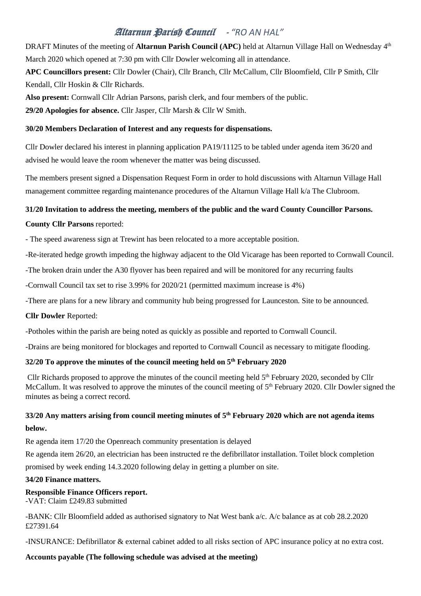# Altarnun Parish Council - *"RO AN HAL"*

DRAFT Minutes of the meeting of **Altarnun Parish Council (APC)** held at Altarnun Village Hall on Wednesday 4<sup>th</sup> March 2020 which opened at 7:30 pm with Cllr Dowler welcoming all in attendance.

**APC Councillors present:** Cllr Dowler (Chair), Cllr Branch, Cllr McCallum, Cllr Bloomfield, Cllr P Smith, Cllr Kendall, Cllr Hoskin & Cllr Richards.

**Also present:** Cornwall Cllr Adrian Parsons, parish clerk, and four members of the public.

**29/20 Apologies for absence.** Cllr Jasper, Cllr Marsh & Cllr W Smith.

#### **30/20 Members Declaration of Interest and any requests for dispensations.**

Cllr Dowler declared his interest in planning application PA19/11125 to be tabled under agenda item 36/20 and advised he would leave the room whenever the matter was being discussed.

The members present signed a Dispensation Request Form in order to hold discussions with Altarnun Village Hall management committee regarding maintenance procedures of the Altarnun Village Hall k/a The Clubroom.

### **31/20 Invitation to address the meeting, members of the public and the ward County Councillor Parsons.**

**County Cllr Parsons** reported:

- The speed awareness sign at Trewint has been relocated to a more acceptable position.

-Re-iterated hedge growth impeding the highway adjacent to the Old Vicarage has been reported to Cornwall Council.

-The broken drain under the A30 flyover has been repaired and will be monitored for any recurring faults

-Cornwall Council tax set to rise 3.99% for 2020/21 (permitted maximum increase is 4%)

-There are plans for a new library and community hub being progressed for Launceston. Site to be announced.

#### **Cllr Dowler** Reported:

-Potholes within the parish are being noted as quickly as possible and reported to Cornwall Council.

-Drains are being monitored for blockages and reported to Cornwall Council as necessary to mitigate flooding.

### **32/20 To approve the minutes of the council meeting held on 5 th February 2020**

Cllr Richards proposed to approve the minutes of the council meeting held 5<sup>th</sup> February 2020, seconded by Cllr McCallum. It was resolved to approve the minutes of the council meeting of 5<sup>th</sup> February 2020. Cllr Dowler signed the minutes as being a correct record.

### $33/20$  Any matters arising from council meeting minutes of  $5<sup>th</sup>$  February 2020 which are not agenda items **below.**

Re agenda item 17/20 the Openreach community presentation is delayed

Re agenda item 26/20, an electrician has been instructed re the defibrillator installation. Toilet block completion promised by week ending 14.3.2020 following delay in getting a plumber on site.

#### **34/20 Finance matters.**

#### **Responsible Finance Officers report.**

-VAT: Claim £249.83 submitted

-BANK: Cllr Bloomfield added as authorised signatory to Nat West bank a/c. A/c balance as at cob 28.2.2020 £27391.64

-INSURANCE: Defibrillator & external cabinet added to all risks section of APC insurance policy at no extra cost.

### **Accounts payable (The following schedule was advised at the meeting)**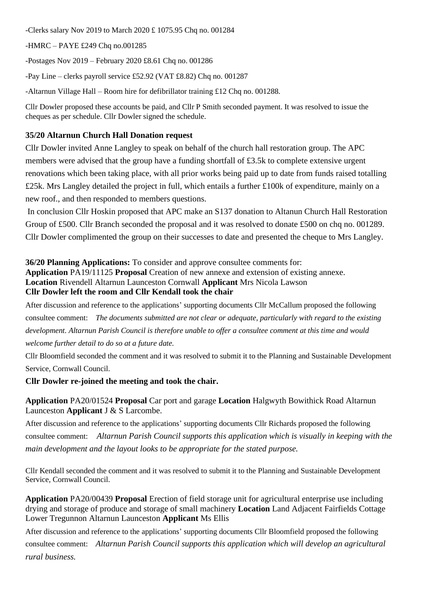-Clerks salary Nov 2019 to March 2020 £ 1075.95 Chq no. 001284

-HMRC – PAYE £249 Chq no.001285

-Postages Nov 2019 – February 2020 £8.61 Chq no. 001286

-Pay Line – clerks payroll service £52.92 (VAT £8.82) Chq no. 001287

-Altarnun Village Hall – Room hire for defibrillator training £12 Chq no. 001288.

Cllr Dowler proposed these accounts be paid, and Cllr P Smith seconded payment. It was resolved to issue the cheques as per schedule. Cllr Dowler signed the schedule.

### **35/20 Altarnun Church Hall Donation request**

Cllr Dowler invited Anne Langley to speak on behalf of the church hall restoration group. The APC members were advised that the group have a funding shortfall of £3.5k to complete extensive urgent renovations which been taking place, with all prior works being paid up to date from funds raised totalling £25k. Mrs Langley detailed the project in full, which entails a further £100k of expenditure, mainly on a new roof., and then responded to members questions.

In conclusion Cllr Hoskin proposed that APC make an S137 donation to Altanun Church Hall Restoration Group of £500. Cllr Branch seconded the proposal and it was resolved to donate £500 on chq no. 001289. Cllr Dowler complimented the group on their successes to date and presented the cheque to Mrs Langley.

**36/20 Planning Applications:** To consider and approve consultee comments for: **Application** PA19/11125 **Proposal** Creation of new annexe and extension of existing annexe. **Location** Rivendell Altarnun Launceston Cornwall **Applicant** Mrs Nicola Lawson **Cllr Dowler left the room and Cllr Kendall took the chair**

After discussion and reference to the applications' supporting documents Cllr McCallum proposed the following consultee comment: *The documents submitted are not clear or adequate, particularly with regard to the existing development. Altarnun Parish Council is therefore unable to offer a consultee comment at this time and would welcome further detail to do so at a future date.*

Cllr Bloomfield seconded the comment and it was resolved to submit it to the Planning and Sustainable Development Service, Cornwall Council.

**Cllr Dowler re-joined the meeting and took the chair.**

### **Application** PA20/01524 **Proposal** Car port and garage **Location** Halgwyth Bowithick Road Altarnun Launceston **Applicant** J & S Larcombe.

After discussion and reference to the applications' supporting documents Cllr Richards proposed the following consultee comment: *Altarnun Parish Council supports this application which is visually in keeping with the main development and the layout looks to be appropriate for the stated purpose.*

Cllr Kendall seconded the comment and it was resolved to submit it to the Planning and Sustainable Development Service, Cornwall Council.

**Application** PA20/00439 **Proposal** Erection of field storage unit for agricultural enterprise use including drying and storage of produce and storage of small machinery **Location** Land Adjacent Fairfields Cottage Lower Tregunnon Altarnun Launceston **Applicant** Ms Ellis

After discussion and reference to the applications' supporting documents Cllr Bloomfield proposed the following consultee comment: *Altarnun Parish Council supports this application which will develop an agricultural rural business.*